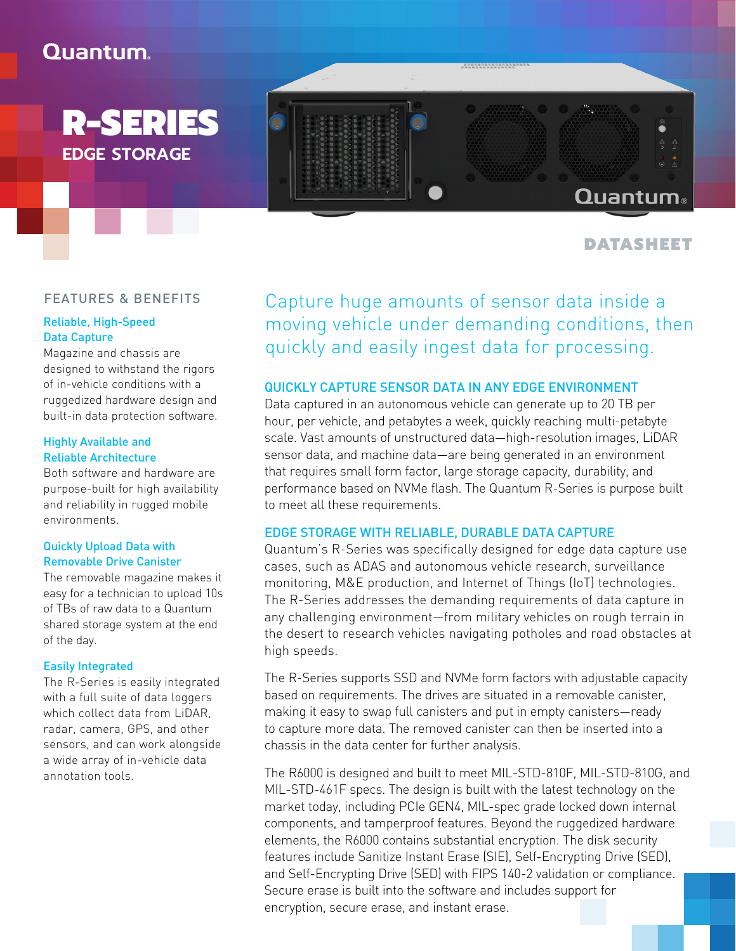# Quantum.

R-SERIES **EDGE STORAGE**

# Quantum®

................

## DATASHEET

### FEATURES & BENEFITS

### Reliable, High-Speed Data Capture

Magazine and chassis are designed to withstand the rigors of in-vehicle conditions with a ruggedized hardware design and built-in data protection software.

### Highly Available and Reliable Architecture

Both software and hardware are purpose-built for high availability and reliability in rugged mobile environments.

### Quickly Upload Data with Removable Drive Canister

The removable magazine makes it easy for a technician to upload 10s of TBs of raw data to a Quantum shared storage system at the end of the day.

### Easily Integrated

The R-Series is easily integrated with a full suite of data loggers which collect data from LiDAR, radar, camera, GPS, and other sensors, and can work alongside a wide array of in-vehicle data annotation tools.

Capture huge amounts of sensor data inside a moving vehicle under demanding conditions, then quickly and easily ingest data for processing.

### QUICKLY CAPTURE SENSOR DATA IN ANY EDGE ENVIRONMENT

Data captured in an autonomous vehicle can generate up to 20 TB per hour, per vehicle, and petabytes a week, quickly reaching multi-petabyte scale. Vast amounts of unstructured data—high-resolution images, LiDAR sensor data, and machine data—are being generated in an environment that requires small form factor, large storage capacity, durability, and performance based on NVMe flash. The Quantum R-Series is purpose built to meet all these requirements.

### EDGE STORAGE WITH RELIABLE, DURABLE DATA CAPTURE

Quantum's R-Series was specifically designed for edge data capture use cases, such as ADAS and autonomous vehicle research, surveillance monitoring, M&E production, and Internet of Things (IoT) technologies. The R-Series addresses the demanding requirements of data capture in any challenging environment—from military vehicles on rough terrain in the desert to research vehicles navigating potholes and road obstacles at high speeds.

The R-Series supports SSD and NVMe form factors with adjustable capacity based on requirements. The drives are situated in a removable canister, making it easy to swap full canisters and put in empty canisters—ready to capture more data. The removed canister can then be inserted into a chassis in the data center for further analysis.

The R6000 is designed and built to meet MIL-STD-810F, MIL-STD-810G, and MIL-STD-461F specs. The design is built with the latest technology on the market today, including PCIe GEN4, MIL-spec grade locked down internal components, and tamperproof features. Beyond the ruggedized hardware elements, the R6000 contains substantial encryption. The disk security features include Sanitize Instant Erase (SIE), Self-Encrypting Drive (SED), and Self-Encrypting Drive (SED) with FIPS 140-2 validation or compliance. Secure erase is built into the software and includes support for encryption, secure erase, and instant erase.